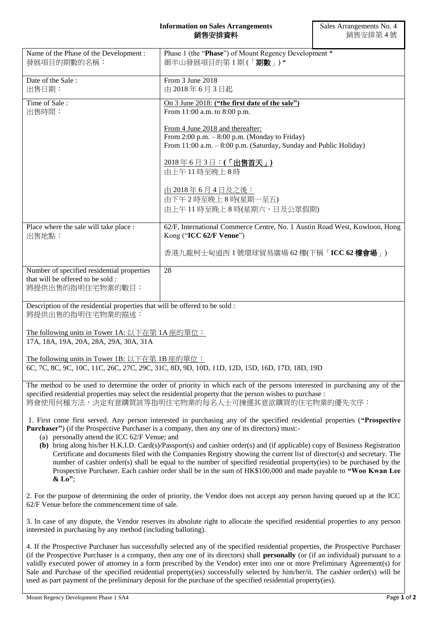| Name of the Phase of the Development:<br>發展項目的期數的名稱:                                                                                                                                                                                                                                                                                                            | Phase 1 (the "Phase") of Mount Regency Development *<br>御半山發展項目的第1期(「期數」)*                                                                                                                                                                                                                                                                                                                                                                                                                                                                                                                                           |
|-----------------------------------------------------------------------------------------------------------------------------------------------------------------------------------------------------------------------------------------------------------------------------------------------------------------------------------------------------------------|----------------------------------------------------------------------------------------------------------------------------------------------------------------------------------------------------------------------------------------------------------------------------------------------------------------------------------------------------------------------------------------------------------------------------------------------------------------------------------------------------------------------------------------------------------------------------------------------------------------------|
| Date of the Sale:<br>出售日期:                                                                                                                                                                                                                                                                                                                                      | From 3 June 2018<br>由 2018年6月3日起                                                                                                                                                                                                                                                                                                                                                                                                                                                                                                                                                                                     |
| Time of Sale:<br>出售時間:                                                                                                                                                                                                                                                                                                                                          | On 3 June 2018: ("the first date of the sale")<br>From 11:00 a.m. to 8:00 p.m.                                                                                                                                                                                                                                                                                                                                                                                                                                                                                                                                       |
|                                                                                                                                                                                                                                                                                                                                                                 | From 4 June 2018 and thereafter:<br>From 2:00 p.m. $-8:00$ p.m. (Monday to Friday)<br>From 11:00 a.m. - 8:00 p.m. (Saturday, Sunday and Public Holiday)                                                                                                                                                                                                                                                                                                                                                                                                                                                              |
|                                                                                                                                                                                                                                                                                                                                                                 | 2018年6月3日:(「出售首天」)<br>由上午11時至晚上8時                                                                                                                                                                                                                                                                                                                                                                                                                                                                                                                                                                                    |
|                                                                                                                                                                                                                                                                                                                                                                 | <u>由 2018年6月4日及之後:</u><br>由下午2時至晚上8時(星期一至五)<br>由上午11時至晚上8時(星期六、日及公眾假期)                                                                                                                                                                                                                                                                                                                                                                                                                                                                                                                                               |
| Place where the sale will take place :<br>出售地點:                                                                                                                                                                                                                                                                                                                 | 62/F, International Commerce Centre, No. 1 Austin Road West, Kowloon, Hong<br>Kong ("ICC 62/F Venue")                                                                                                                                                                                                                                                                                                                                                                                                                                                                                                                |
|                                                                                                                                                                                                                                                                                                                                                                 | 香港九龍柯士甸道西1號環球貿易廣場 62樓(下稱「ICC 62樓會場」)                                                                                                                                                                                                                                                                                                                                                                                                                                                                                                                                                                                 |
| Number of specified residential properties<br>that will be offered to be sold:<br>將提供出售的指明住宅物業的數目:                                                                                                                                                                                                                                                              | 28                                                                                                                                                                                                                                                                                                                                                                                                                                                                                                                                                                                                                   |
| Description of the residential properties that will be offered to be sold :<br>將提供出售的指明住宅物業的描述:                                                                                                                                                                                                                                                                 |                                                                                                                                                                                                                                                                                                                                                                                                                                                                                                                                                                                                                      |
| The following units in Tower 1A: 以下在第 1A 座的單位:<br>17A, 18A, 19A, 20A, 28A, 29A, 30A, 31A                                                                                                                                                                                                                                                                        |                                                                                                                                                                                                                                                                                                                                                                                                                                                                                                                                                                                                                      |
| The following units in Tower 1B: $\bigcup \overline{\text{F}}$ $\overline{t}$ $\overline{f}$ $\overline{f}$ $\overline{f}$ $\overline{f}$ $\overline{f}$ $\overline{f}$ $\overline{f}$ $\overline{f}$ $\overline{f}$ $\overline{f}$ $\overline{f}$ $\overline{f}$ $\overline{f}$ $\overline{f}$ $\overline{f}$ $\overline{f}$ $\overline{f}$ $\overline{f}$ $\$ | 6C, 7C, 8C, 9C, 10C, 11C, 26C, 27C, 29C, 31C, 8D, 9D, 10D, 11D, 12D, 15D, 16D, 17D, 18D, 19D                                                                                                                                                                                                                                                                                                                                                                                                                                                                                                                         |
|                                                                                                                                                                                                                                                                                                                                                                 | The method to be used to determine the order of priority in which each of the persons interested in purchasing any of the<br>specified residential properties may select the residential property that the person wishes to purchase :<br>將會使用何種方法,決定有意購買該等指明住宅物業的每名人士可揀選其意欲購買的住宅物業的優先次序:                                                                                                                                                                                                                                                                                                                            |
| (a) personally attend the ICC 62/F Venue; and                                                                                                                                                                                                                                                                                                                   | 1. First come first served. Any person interested in purchasing any of the specified residential properties ("Prospective<br><b>Purchaser"</b> ) (if the Prospective Purchaser is a company, then any one of its directors) must:-<br>(b) bring along his/her H.K.I.D. Card(s)/Passport(s) and cashier order(s) and (if applicable) copy of Business Registration<br>Certificate and documents filed with the Companies Registry showing the current list of director(s) and secretary. The<br>number of cashier order(s) shall be equal to the number of specified residential property(ies) to be purchased by the |

2. For the purpose of determining the order of priority, the Vendor does not accept any person having queued up at the ICC 62/F Venue before the commencement time of sale.

Prospective Purchaser. Each cashier order shall be in the sum of HK\$100,000 and made payable to **"Woo Kwan Lee** 

3. In case of any dispute, the Vendor reserves its absolute right to allocate the specified residential properties to any person interested in purchasing by any method (including balloting).

4. If the Prospective Purchaser has successfully selected any of the specified residential properties, the Prospective Purchaser (if the Prospective Purchaser is a company, then any one of its directors) shall **personally** (or (if an individual) pursuant to a validly executed power of attorney in a form prescribed by the Vendor) enter into one or more Preliminary Agreement(s) for Sale and Purchase of the specified residential property(ies) successfully selected by him/her/it. The cashier order(s) will be used as part payment of the preliminary deposit for the purchase of the specified residential property(ies).

**& Lo"**;